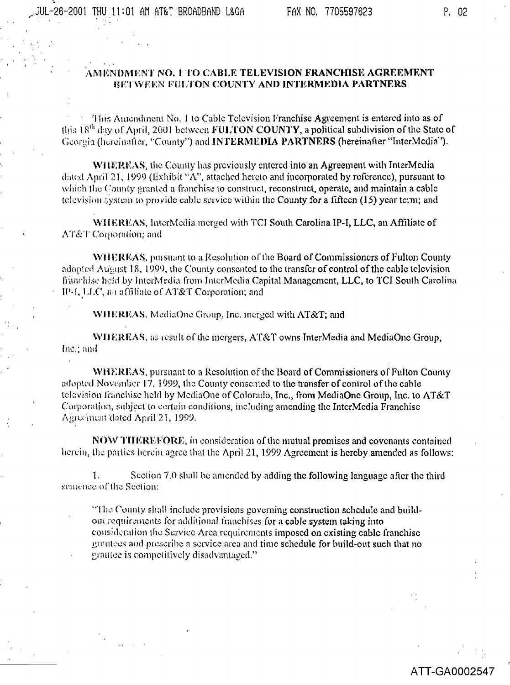## AMENDMENT NO. 1 TO CABLE TELEVISION FRANCHISE AGREEMENT BETWEEN FULTON COUNTY AND INTERMEDIA PARTNERS

This Amendment No. 1 to Cable Television Franchise Agreement is entered into as of this  $18<sup>th</sup>$  day of April, 2001 between FULTON COUNTY, a political subdivision of the State of Georgia (hereinafier, "County") and INTERMEDIA PARTNERS (hereinafter "InterMedia").

WIIEREAS, the County has previously entered into an Agreement with InterMedia dated April 21, 1999 (Exhibit "A", attached hereto and incorporated by reference), pursuant to which the County granted a franchise to construct, reconstruct, operate, and maintain a cable television system to provide cable service within the County for a fifteen (15) year term; and

WHEREAS, InterMedia merged with TCI South Carolina IP-I, LLC, an Affiliate of AT&T Corporation; and

WHEREAS, pursuant to a Resolution of the Board of Commissioners of Fulton County adopted August 18, 1999, the County consented to the transfer of control of the cable television franchise held by InterMedia from InterMedia Capital Management, LLC, to TCI South Carolina IP-1, LLC, an affiliate of AT&T Corporation; and

WHEREAS, MediaOne Group, Inc. merged with AT&T; and

WHEREAS, as result of the mergers. AT&T owns InterMedia and MediaOne Group, Inc.; and

WHEREAS, pursuant to a Resolution of the Board of Commissioners of Fulton County adopted November 17, 1999, the County consented to the transfer of control of the cable television franchise held by MediaOne of Colorado, Inc., from MediaOne Group, Inc. to AT&T Corporation, subject to certain conditions, including amending the InterMedia Franchise Agreement dated April 21, 1999.

NOW THEREFORE, in consideration of the mutual promises and covenants contained herein, the parties herein agree that the April 21, 1999 Agreement is hereby amended as follows:

Section 7.0 shall be amended by adding the following language after the third  $1<sub>1</sub>$ sentence of the Section:

"The County shall include provisions governing construction schedule and buildout requirements for additional franchises for a cable system taking into consideration the Service Area requirements imposed on existing cable franchise grantees and prescribe a service area and time schedule for build-out such that no grantee is competitively disadvantaged."

## ATT-GA0002547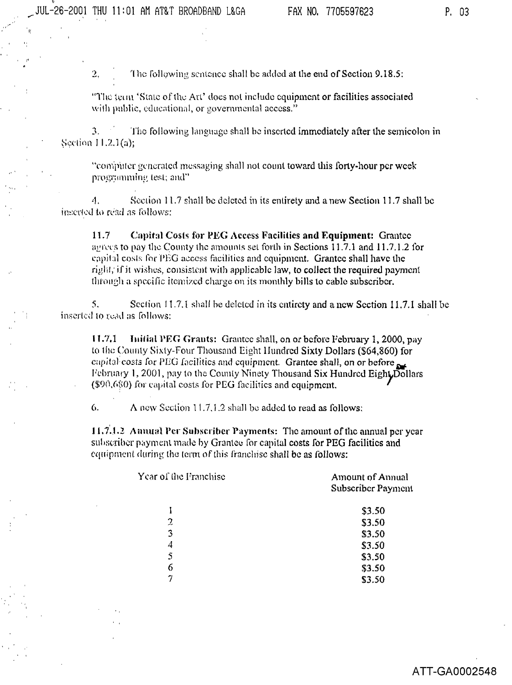The following sentence shall be added at the end of Section 9.18.5: 2,

"The term 'State of the Art' does not include equipment or facilities associated with public, educational, or governmental access."

 $\mathfrak{I}$ . The following language shall be inserted immediately after the semicolon in Section 11.2.1(a);

"computer generated messaging shall not count toward this forty-hour per week programming test; and"

4. Section 11.7 shall be deleted in its entirety and a new Section 11.7 shall be inserted to read as follows:

 $11.7$ Capital Costs for PEG Access Facilities and Equipment: Grantee agrees to pay the County the amounts set forth in Sections 11.7.1 and 11.7.1.2 for eapital costs for PEG access facilities and equipment. Grantee shall have the right, if it wishes, consistent with applicable law, to collect the required payment through a specific itemized charge on its monthly bills to cable subscriber.

 $\mathcal{S}$ . Section 11.7.1 shall be deleted in its entirety and a new Section 11.7.1 shall be inserted to read as follows:

 $11.7,1$ Initial PEG Grants: Grantee shall, on or before February 1, 2000, pay to the County Sixty-Four Thousand Eight Hundred Sixty Dollars (\$64,860) for capital costs for PEG facilities and equipment. Grantee shall, on or before February 1, 2001, pay to the County Ninety Thousand Six Hundred Eight, Dollars (\$90,680) for capital costs for PEG facilities and equipment.

A new Section 11.7.1.2 shall be added to read as follows: 6.

11.7.1.2 Annual Per Subscriber Payments: The amount of the annual per year subscriber payment made by Grantee for capital costs for PEG facilities and equipment during the term of this franchise shall be as follows:

| Year of the Franchise | <b>Amount of Annual</b><br>Subscriber Payment |
|-----------------------|-----------------------------------------------|
|                       | \$3.50                                        |
| $\overline{2}$        | \$3.50                                        |
| 3                     | \$3.50                                        |
| 4                     | \$3.50                                        |
| $\mathfrak{s}$        | \$3.50                                        |
| 6                     | \$3.50                                        |
|                       | \$3.50                                        |
|                       |                                               |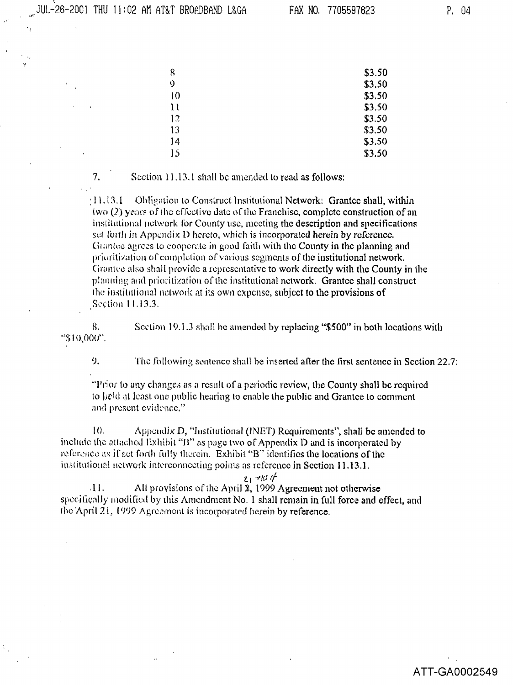7.

ATT-GA0002549

| 8              | \$3.50 |
|----------------|--------|
| 9              | \$3.50 |
| $\overline{0}$ | \$3.50 |
| 11             | \$3.50 |
| 12             | \$3.50 |
| 13             | \$3.50 |
| 14             | \$3.50 |
| 15             | \$3.50 |

Section 11.13.1 shall be amended to read as follows:

 $(11.13.1)$  Obligation to Construct Institutional Network: Grantee shall, within (wo (2) years of the effective date of the Franchise, complete construction of an institutional network for County use, meeting the description and specifications set forth in Appendix D hereto, which is incorporated herein by reference. Grantee agrees to cooperate in good faith with the County in the planning and prioritization of completion of various segments of the institutional network. Grantee also shall provide a representative to work directly with the County in the planning and prioritization of the institutional network. Grantee shall construct the institutional network at its own expense, subject to the provisions of Section 11.13.3.

Section 19.1.3 shall be amended by replacing "\$500" in both locations with 8. "\$10,000".

9. The following sentence shall be inserted after the first sentence in Section 22.7:

"Prior to any changes as a result of a periodic review, the County shall be required to held at least one public hearing to enable the public and Grantee to comment and present evidence."

 $10.$ Appendix  $D<sub>i</sub>$  "Institutional (INET) Requirements", shall be amended to include the attached Exhibit "B" as page two of Appendix D and is incorporated by reference as if set forth fully therein. Exhibit "B" identifies the locations of the institutional network interconnecting points as reference in Section 11.13.1.

 $21 - 104$ 

All provisions of the April 2, 1999 Agreement not otherwise  $\mathbf{11}$ . specifically modified by this Amendment No. 1 shall remain in full force and effect, and the April 21, 1999 Agreement is incorporated herein by reference.